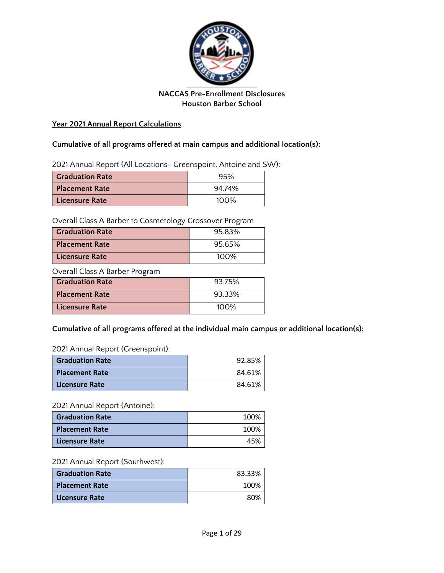

# **NACCAS Pre-Enrollment Disclosures Houston Barber School**

## **Year 2021 Annual Report Calculations**

# **Cumulative of all programs offered at main campus and additional location(s):**

2021 Annual Report (All Locations- Greenspoint, Antoine and SW):

| <b>Graduation Rate</b> | 95%     |
|------------------------|---------|
| Placement Rate         | 94.74%  |
| Licensure Rate         | $100\%$ |

Overall Class A Barber to Cosmetology Crossover Program

| <b>Craduation Rate</b> | 95.83%  |
|------------------------|---------|
| <b>Placement Rate</b>  | 95.65%  |
| Licensure Rate         | $100\%$ |

Overall Class A Barber Program

| <b>Graduation Rate</b> | 93.75%  |
|------------------------|---------|
| <b>Placement Rate</b>  | 93.33%  |
| Licensure Rate         | $100\%$ |

# **Cumulative of all programs offered at the individual main campus or additional location(s):**

2021 Annual Report (Greenspoint):

| <b>Graduation Rate</b> | 92.85% |
|------------------------|--------|
| <b>Placement Rate</b>  | 84.61% |
| Licensure Rate         | 84.61% |

## 2021 Annual Report (Antoine):

| <b>Graduation Rate</b> | 100% |
|------------------------|------|
| <b>Placement Rate</b>  | 100% |
| <b>Licensure Rate</b>  | 45%  |

#### 2021 Annual Report (Southwest):

| <b>Graduation Rate</b> | 83.33% |
|------------------------|--------|
| <b>Placement Rate</b>  | 100%   |
| Licensure Rate         | 80%    |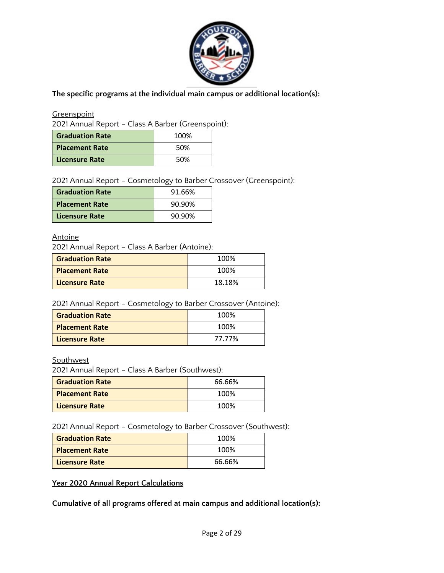

**The specific programs at the individual main campus or additional location(s):**

**Greenspoint** 

2021 Annual Report – Class A Barber (Greenspoint):

| <b>Graduation Rate</b> | 100% |
|------------------------|------|
| <b>Placement Rate</b>  | 50%  |
| Licensure Rate         | 50%  |

2021 Annual Report – Cosmetology to Barber Crossover (Greenspoint):

| <b>Graduation Rate</b> | 91.66% |
|------------------------|--------|
| <b>Placement Rate</b>  | 90.90% |
| Licensure Rate         | 90.90% |

## **Antoine**

2021 Annual Report – Class A Barber (Antoine):

| <b>Graduation Rate</b> | 100%   |
|------------------------|--------|
| <b>Placement Rate</b>  | 100%   |
| <b>Licensure Rate</b>  | 18.18% |

2021 Annual Report – Cosmetology to Barber Crossover (Antoine):

| <b>Graduation Rate</b> | 100%   |
|------------------------|--------|
| <b>Placement Rate</b>  | 100%   |
| Licensure Rate         | 77.77% |

**Southwest** 

2021 Annual Report – Class A Barber (Southwest):

| <b>Graduation Rate</b> | 66.66% |
|------------------------|--------|
| <b>Placement Rate</b>  | 100%   |
| <b>Licensure Rate</b>  | 100%   |

2021 Annual Report – Cosmetology to Barber Crossover (Southwest):

| <b>Graduation Rate</b> | 100%   |
|------------------------|--------|
| <b>Placement Rate</b>  | 100%   |
| <b>Licensure Rate</b>  | 66.66% |

**Year 2020 Annual Report Calculations**

**Cumulative of all programs offered at main campus and additional location(s):**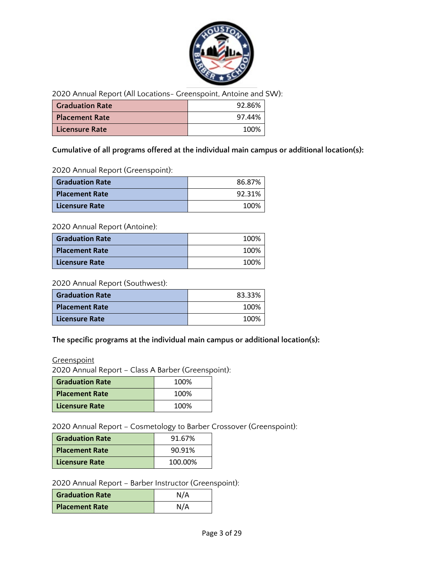

2020 Annual Report (All Locations- Greenspoint, Antoine and SW):

| <b>Graduation Rate</b> | 92.86% |
|------------------------|--------|
| <b>Placement Rate</b>  | 97.44% |
| Licensure Rate         | 100%   |

## **Cumulative of all programs offered at the individual main campus or additional location(s):**

2020 Annual Report (Greenspoint):

| <b>Graduation Rate</b> | 86.87% |
|------------------------|--------|
| <b>Placement Rate</b>  | 92.31% |
| <b>Licensure Rate</b>  | 100%   |

## 2020 Annual Report (Antoine):

| <b>Graduation Rate</b> | 100% |
|------------------------|------|
| <b>Placement Rate</b>  | 100% |
| <b>Licensure Rate</b>  | 100% |

#### 2020 Annual Report (Southwest):

| <b>Graduation Rate</b> | 83.33% |
|------------------------|--------|
| <b>Placement Rate</b>  | 100%   |
| <b>Licensure Rate</b>  | 100%   |

## **The specific programs at the individual main campus or additional location(s):**

**Greenspoint** 

2020 Annual Report – Class A Barber (Greenspoint):

| <b>Graduation Rate</b> | 100% |
|------------------------|------|
| <b>Placement Rate</b>  | 100% |
| Licensure Rate         | 100% |

2020 Annual Report – Cosmetology to Barber Crossover (Greenspoint):

| <b>Graduation Rate</b> | 91.67%  |
|------------------------|---------|
| <b>Placement Rate</b>  | 90.91%  |
| Licensure Rate         | 100.00% |

2020 Annual Report – Barber Instructor (Greenspoint):

| <b>Graduation Rate</b> | N/A |
|------------------------|-----|
| Placement Rate         | N/A |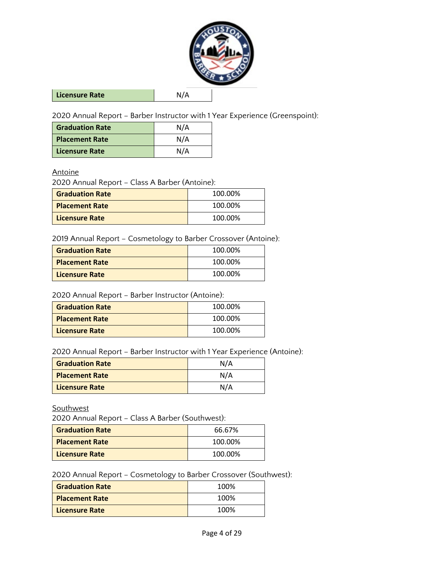

**Licensure Rate** N/A

2020 Annual Report – Barber Instructor with 1 Year Experience (Greenspoint):

| <b>Graduation Rate</b> | N/A |
|------------------------|-----|
| <b>Placement Rate</b>  | N/A |
| Licensure Rate         | N/A |

#### **Antoine**

2020 Annual Report – Class A Barber (Antoine):

| <b>Graduation Rate</b> | 100.00% |
|------------------------|---------|
| <b>Placement Rate</b>  | 100.00% |
| Licensure Rate         | 100.00% |

2019 Annual Report – Cosmetology to Barber Crossover (Antoine):

| <b>Graduation Rate</b> | 100.00% |
|------------------------|---------|
| <b>Placement Rate</b>  | 100.00% |
| <b>Licensure Rate</b>  | 100.00% |

2020 Annual Report – Barber Instructor (Antoine):

| <b>Graduation Rate</b> | 100.00% |
|------------------------|---------|
| <b>Placement Rate</b>  | 100.00% |
| <b>Licensure Rate</b>  | 100.00% |

2020 Annual Report – Barber Instructor with 1 Year Experience (Antoine):

| <b>Graduation Rate</b> | N/A |
|------------------------|-----|
| <b>Placement Rate</b>  | N/A |
| Licensure Rate         | N/A |

**Southwest** 

2020 Annual Report – Class A Barber (Southwest):

| <b>Graduation Rate</b> | 66.67%  |
|------------------------|---------|
| <b>Placement Rate</b>  | 100.00% |
| <b>Licensure Rate</b>  | 100.00% |

2020 Annual Report – Cosmetology to Barber Crossover (Southwest):

| <b>Graduation Rate</b> | 100% |
|------------------------|------|
| <b>Placement Rate</b>  | 100% |
| Licensure Rate         | 100% |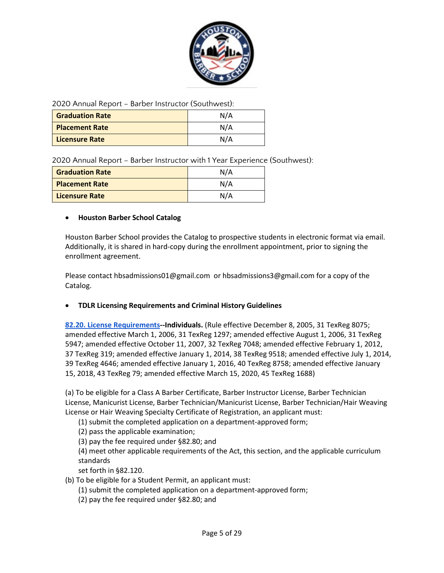

2020 Annual Report – Barber Instructor (Southwest):

| <b>Graduation Rate</b> | N/A |
|------------------------|-----|
| <b>Placement Rate</b>  | N/A |
| <b>Licensure Rate</b>  | N/A |

2020 Annual Report – Barber Instructor with 1 Year Experience (Southwest):

| <b>Graduation Rate</b> | N/A |
|------------------------|-----|
| <b>Placement Rate</b>  | N/A |
| <b>Licensure Rate</b>  | N/A |

#### • **Houston Barber School Catalog**

Houston Barber School provides the Catalog to prospective students in electronic format via email. Additionally, it is shared in hard-copy during the enrollment appointment, prior to signing the enrollment agreement.

Please contact hbsadmissions01@gmail.com or hbsadmissions3@gmail.com for a copy of the Catalog.

#### • **TDLR Licensing Requirements and Criminal History Guidelines**

**[82.20. License Requirements-](https://www.tdlr.texas.gov/barbers/barberrules.htm#8220)-Individuals.** (Rule effective December 8, 2005, 31 TexReg 8075; amended effective March 1, 2006, 31 TexReg 1297; amended effective August 1, 2006, 31 TexReg 5947; amended effective October 11, 2007, 32 TexReg 7048; amended effective February 1, 2012, 37 TexReg 319; amended effective January 1, 2014, 38 TexReg 9518; amended effective July 1, 2014, 39 TexReg 4646; amended effective January 1, 2016, 40 TexReg 8758; amended effective January 15, 2018, 43 TexReg 79; amended effective March 15, 2020, 45 TexReg 1688)

(a) To be eligible for a Class A Barber Certificate, Barber Instructor License, Barber Technician License, Manicurist License, Barber Technician/Manicurist License, Barber Technician/Hair Weaving License or Hair Weaving Specialty Certificate of Registration, an applicant must:

(1) submit the completed application on a department-approved form;

(2) pass the applicable examination;

(3) pay the fee required under §82.80; and

(4) meet other applicable requirements of the Act, this section, and the applicable curriculum standards

set forth in §82.120.

- (b) To be eligible for a Student Permit, an applicant must:
	- (1) submit the completed application on a department-approved form;
	- (2) pay the fee required under §82.80; and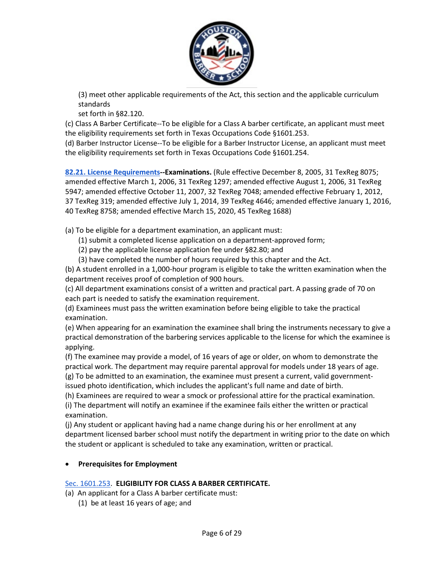

(3) meet other applicable requirements of the Act, this section and the applicable curriculum standards

set forth in §82.120.

(c) Class A Barber Certificate--To be eligible for a Class A barber certificate, an applicant must meet the eligibility requirements set forth in Texas Occupations Code §1601.253.

(d) Barber Instructor License--To be eligible for a Barber Instructor License, an applicant must meet the eligibility requirements set forth in Texas Occupations Code §1601.254.

**[82.21. License Requirements-](https://www.tdlr.texas.gov/barbers/barberrules.htm#8221)-Examinations.** (Rule effective December 8, 2005, 31 TexReg 8075; amended effective March 1, 2006, 31 TexReg 1297; amended effective August 1, 2006, 31 TexReg 5947; amended effective October 11, 2007, 32 TexReg 7048; amended effective February 1, 2012, 37 TexReg 319; amended effective July 1, 2014, 39 TexReg 4646; amended effective January 1, 2016, 40 TexReg 8758; amended effective March 15, 2020, 45 TexReg 1688)

(a) To be eligible for a department examination, an applicant must:

(1) submit a completed license application on a department-approved form;

(2) pay the applicable license application fee under §82.80; and

(3) have completed the number of hours required by this chapter and the Act.

(b) A student enrolled in a 1,000-hour program is eligible to take the written examination when the department receives proof of completion of 900 hours.

(c) All department examinations consist of a written and practical part. A passing grade of 70 on each part is needed to satisfy the examination requirement.

(d) Examinees must pass the written examination before being eligible to take the practical examination.

(e) When appearing for an examination the examinee shall bring the instruments necessary to give a practical demonstration of the barbering services applicable to the license for which the examinee is applying.

(f) The examinee may provide a model, of 16 years of age or older, on whom to demonstrate the practical work. The department may require parental approval for models under 18 years of age. (g) To be admitted to an examination, the examinee must present a current, valid government-

issued photo identification, which includes the applicant's full name and date of birth.

(h) Examinees are required to wear a smock or professional attire for the practical examination. (i) The department will notify an examinee if the examinee fails either the written or practical examination.

(j) Any student or applicant having had a name change during his or her enrollment at any department licensed barber school must notify the department in writing prior to the date on which the student or applicant is scheduled to take any examination, written or practical.

# • **Prerequisites for Employment**

# [Sec. 1601.253.](https://statutes.capitol.texas.gov/docs/OC/htm/OC.1601.htm) **ELIGIBILITY FOR CLASS A BARBER CERTIFICATE.**

(a) An applicant for a Class A barber certificate must:

(1) be at least 16 years of age; and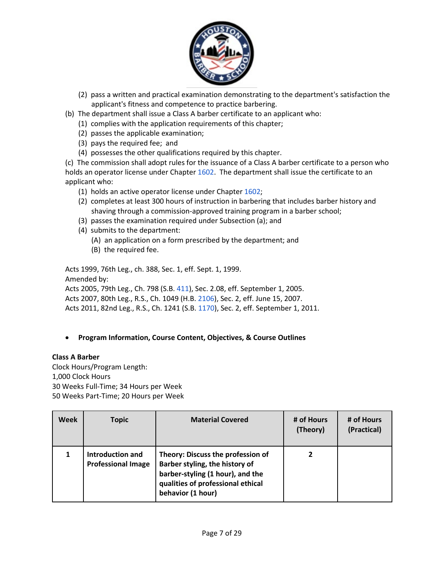

- (2) pass a written and practical examination demonstrating to the department's satisfaction the applicant's fitness and competence to practice barbering.
- (b) The department shall issue a Class A barber certificate to an applicant who:
	- (1) complies with the application requirements of this chapter;
	- (2) passes the applicable examination;
	- (3) pays the required fee; and
	- (4) possesses the other qualifications required by this chapter.

(c) The commission shall adopt rules for the issuance of a Class A barber certificate to a person who holds an ope[r](http://www.statutes.legis.state.tx.us/GetStatute.aspx?Code=OC&Value=1602)ator license under Chapter [1602.](http://www.statutes.legis.state.tx.us/GetStatute.aspx?Code=OC&Value=1602) The department shall issue the certificate to an applicant who:

- (1) holds an active operator license under Chapte[r](http://www.statutes.legis.state.tx.us/GetStatute.aspx?Code=OC&Value=1602) [1602;](http://www.statutes.legis.state.tx.us/GetStatute.aspx?Code=OC&Value=1602)
- (2) completes at least 300 hours of instruction in barbering that includes barber history and shaving through a commission-approved training program in a barber school;
- (3) passes the examination required under Subsection (a); and
- (4) submits to the department:
	- (A) an application on a form prescribed by the department; and
	- (B) the required fee.

Acts 1999, 76th Leg., ch. 388, Sec. 1, eff. Sept. 1, 1999. Amended by: Acts 2005, 79th Leg., Ch. 798 (S.B[.](http://www.legis.state.tx.us/tlodocs/79R/billtext/html/SB00411F.HTM) [411\)](http://www.legis.state.tx.us/tlodocs/79R/billtext/html/SB00411F.HTM), Sec. 2.08, eff. September 1, 2005. Acts 2007, 80th Leg., R.S., Ch. 1049 (H.B[.](http://www.legis.state.tx.us/tlodocs/80R/billtext/html/HB02106F.HTM) [2106\)](http://www.legis.state.tx.us/tlodocs/80R/billtext/html/HB02106F.HTM), Sec. 2, eff. June 15, 2007. Acts 2011, 82nd Leg., R.S., Ch. 1241 (S.B. [1170\)](http://www.legis.state.tx.us/tlodocs/82R/billtext/html/SB01170F.HTM), Sec. 2, eff. September 1, 2011.

## • **Program Information, Course Content, Objectives, & Course Outlines**

#### **Class A Barber**

Clock Hours/Program Length: 1,000 Clock Hours 30 Weeks Full-Time; 34 Hours per Week 50 Weeks Part-Time; 20 Hours per Week

| Week | <b>Topic</b>                                  | <b>Material Covered</b>                                                                                                                                           | # of Hours<br>(Theory) | # of Hours<br>(Practical) |
|------|-----------------------------------------------|-------------------------------------------------------------------------------------------------------------------------------------------------------------------|------------------------|---------------------------|
|      | Introduction and<br><b>Professional Image</b> | Theory: Discuss the profession of<br>Barber styling, the history of<br>barber-styling (1 hour), and the<br>qualities of professional ethical<br>behavior (1 hour) |                        |                           |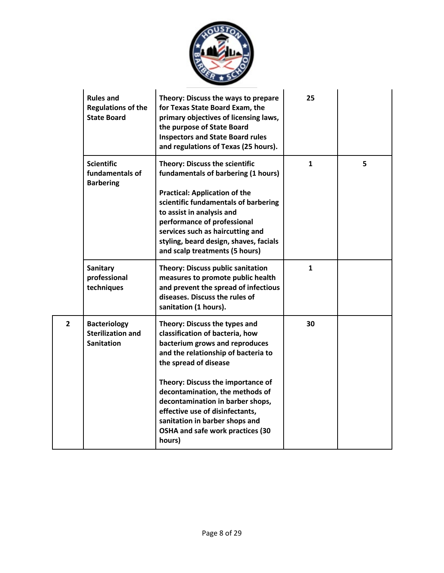

|                | <b>Rules and</b><br><b>Regulations of the</b><br><b>State Board</b>  | Theory: Discuss the ways to prepare<br>for Texas State Board Exam, the<br>primary objectives of licensing laws,<br>the purpose of State Board<br><b>Inspectors and State Board rules</b><br>and regulations of Texas (25 hours).                                                                                                                    | 25           |   |
|----------------|----------------------------------------------------------------------|-----------------------------------------------------------------------------------------------------------------------------------------------------------------------------------------------------------------------------------------------------------------------------------------------------------------------------------------------------|--------------|---|
|                | <b>Scientific</b><br>fundamentals of<br><b>Barbering</b>             | <b>Theory: Discuss the scientific</b><br>fundamentals of barbering (1 hours)<br><b>Practical: Application of the</b><br>scientific fundamentals of barbering<br>to assist in analysis and<br>performance of professional<br>services such as haircutting and<br>styling, beard design, shaves, facials<br>and scalp treatments (5 hours)            | $\mathbf{1}$ | 5 |
|                | <b>Sanitary</b><br>professional<br>techniques                        | <b>Theory: Discuss public sanitation</b><br>measures to promote public health<br>and prevent the spread of infectious<br>diseases. Discuss the rules of<br>sanitation (1 hours).                                                                                                                                                                    | $\mathbf{1}$ |   |
| $\overline{2}$ | <b>Bacteriology</b><br><b>Sterilization and</b><br><b>Sanitation</b> | Theory: Discuss the types and<br>classification of bacteria, how<br>bacterium grows and reproduces<br>and the relationship of bacteria to<br>the spread of disease<br>Theory: Discuss the importance of<br>decontamination, the methods of<br>decontamination in barber shops,<br>effective use of disinfectants,<br>sanitation in barber shops and | 30           |   |
|                |                                                                      | OSHA and safe work practices (30<br>hours)                                                                                                                                                                                                                                                                                                          |              |   |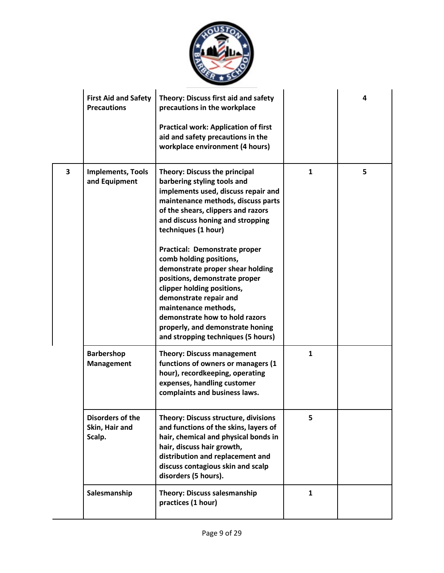

|   | <b>First Aid and Safety</b><br><b>Precautions</b>   | Theory: Discuss first aid and safety<br>precautions in the workplace<br><b>Practical work: Application of first</b><br>aid and safety precautions in the<br>workplace environment (4 hours)                                                                                                                                                                                                                                                                                                                                                                                    |              | 4 |
|---|-----------------------------------------------------|--------------------------------------------------------------------------------------------------------------------------------------------------------------------------------------------------------------------------------------------------------------------------------------------------------------------------------------------------------------------------------------------------------------------------------------------------------------------------------------------------------------------------------------------------------------------------------|--------------|---|
| 3 | <b>Implements, Tools</b><br>and Equipment           | <b>Theory: Discuss the principal</b><br>barbering styling tools and<br>implements used, discuss repair and<br>maintenance methods, discuss parts<br>of the shears, clippers and razors<br>and discuss honing and stropping<br>techniques (1 hour)<br>Practical: Demonstrate proper<br>comb holding positions,<br>demonstrate proper shear holding<br>positions, demonstrate proper<br>clipper holding positions,<br>demonstrate repair and<br>maintenance methods,<br>demonstrate how to hold razors<br>properly, and demonstrate honing<br>and stropping techniques (5 hours) | $\mathbf{1}$ | 5 |
|   | <b>Barbershop</b><br><b>Management</b>              | <b>Theory: Discuss management</b><br>functions of owners or managers (1<br>hour), recordkeeping, operating<br>expenses, handling customer<br>complaints and business laws.                                                                                                                                                                                                                                                                                                                                                                                                     | $\mathbf{1}$ |   |
|   | <b>Disorders of the</b><br>Skin, Hair and<br>Scalp. | <b>Theory: Discuss structure, divisions</b><br>and functions of the skins, layers of<br>hair, chemical and physical bonds in<br>hair, discuss hair growth,<br>distribution and replacement and<br>discuss contagious skin and scalp<br>disorders (5 hours).                                                                                                                                                                                                                                                                                                                    | 5            |   |
|   | Salesmanship                                        | <b>Theory: Discuss salesmanship</b><br>practices (1 hour)                                                                                                                                                                                                                                                                                                                                                                                                                                                                                                                      | $\mathbf{1}$ |   |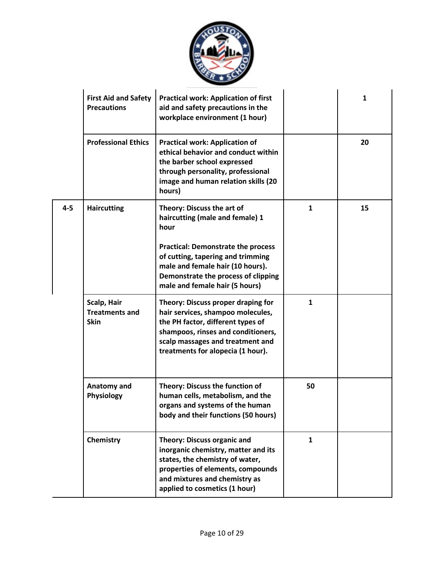

|         | <b>First Aid and Safety</b><br><b>Precautions</b>   | <b>Practical work: Application of first</b><br>aid and safety precautions in the<br>workplace environment (1 hour)                                                                                                          |              | 1  |
|---------|-----------------------------------------------------|-----------------------------------------------------------------------------------------------------------------------------------------------------------------------------------------------------------------------------|--------------|----|
|         | <b>Professional Ethics</b>                          | <b>Practical work: Application of</b><br>ethical behavior and conduct within<br>the barber school expressed<br>through personality, professional<br>image and human relation skills (20<br>hours)                           |              | 20 |
| $4 - 5$ | <b>Haircutting</b>                                  | Theory: Discuss the art of<br>haircutting (male and female) 1<br>hour                                                                                                                                                       | $\mathbf{1}$ | 15 |
|         |                                                     | <b>Practical: Demonstrate the process</b><br>of cutting, tapering and trimming<br>male and female hair (10 hours).<br>Demonstrate the process of clipping<br>male and female hair (5 hours)                                 |              |    |
|         | Scalp, Hair<br><b>Treatments and</b><br><b>Skin</b> | Theory: Discuss proper draping for<br>hair services, shampoo molecules,<br>the PH factor, different types of<br>shampoos, rinses and conditioners,<br>scalp massages and treatment and<br>treatments for alopecia (1 hour). | $\mathbf{1}$ |    |
|         | Anatomy and<br>Physiology                           | Theory: Discuss the function of<br>human cells, metabolism, and the<br>organs and systems of the human<br>body and their functions (50 hours)                                                                               | 50           |    |
|         | Chemistry                                           | <b>Theory: Discuss organic and</b><br>inorganic chemistry, matter and its<br>states, the chemistry of water,<br>properties of elements, compounds<br>and mixtures and chemistry as<br>applied to cosmetics (1 hour)         | $\mathbf{1}$ |    |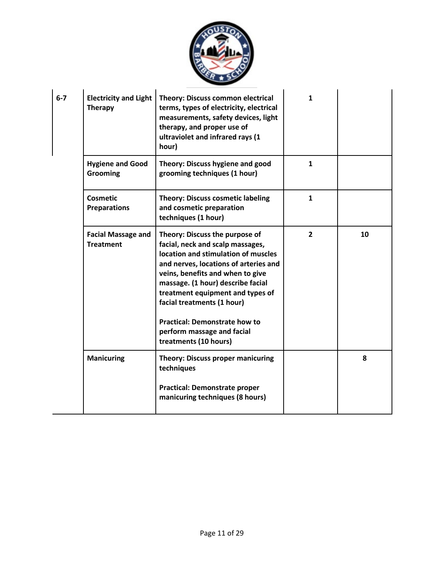

| $6 - 7$ | <b>Electricity and Light</b><br><b>Therapy</b> | Theory: Discuss common electrical<br>terms, types of electricity, electrical<br>measurements, safety devices, light<br>therapy, and proper use of<br>ultraviolet and infrared rays (1<br>hour)                                                                                                                                                                                               | 1              |    |
|---------|------------------------------------------------|----------------------------------------------------------------------------------------------------------------------------------------------------------------------------------------------------------------------------------------------------------------------------------------------------------------------------------------------------------------------------------------------|----------------|----|
|         | <b>Hygiene and Good</b><br><b>Grooming</b>     | Theory: Discuss hygiene and good<br>grooming techniques (1 hour)                                                                                                                                                                                                                                                                                                                             | $\mathbf{1}$   |    |
|         | <b>Cosmetic</b><br><b>Preparations</b>         | <b>Theory: Discuss cosmetic labeling</b><br>and cosmetic preparation<br>techniques (1 hour)                                                                                                                                                                                                                                                                                                  | $\mathbf{1}$   |    |
|         | <b>Facial Massage and</b><br><b>Treatment</b>  | Theory: Discuss the purpose of<br>facial, neck and scalp massages,<br>location and stimulation of muscles<br>and nerves, locations of arteries and<br>veins, benefits and when to give<br>massage. (1 hour) describe facial<br>treatment equipment and types of<br>facial treatments (1 hour)<br><b>Practical: Demonstrate how to</b><br>perform massage and facial<br>treatments (10 hours) | $\overline{2}$ | 10 |
|         | <b>Manicuring</b>                              | <b>Theory: Discuss proper manicuring</b><br>techniques<br><b>Practical: Demonstrate proper</b>                                                                                                                                                                                                                                                                                               |                | 8  |
|         |                                                | manicuring techniques (8 hours)                                                                                                                                                                                                                                                                                                                                                              |                |    |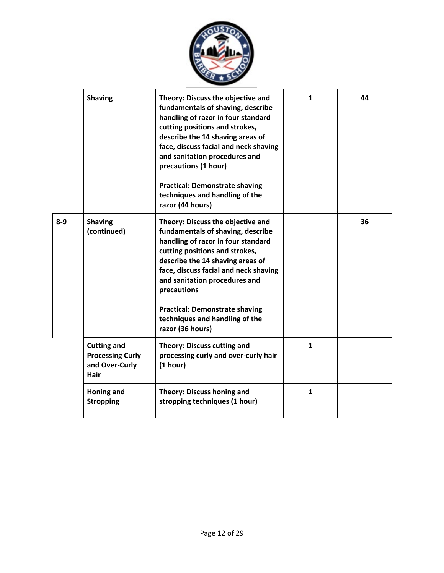

|         | <b>Shaving</b>                                                          | Theory: Discuss the objective and<br>fundamentals of shaving, describe<br>handling of razor in four standard<br>cutting positions and strokes,<br>describe the 14 shaving areas of<br>face, discuss facial and neck shaving<br>and sanitation procedures and<br>precautions (1 hour)<br><b>Practical: Demonstrate shaving</b><br>techniques and handling of the<br>razor (44 hours) | 1            | 44 |
|---------|-------------------------------------------------------------------------|-------------------------------------------------------------------------------------------------------------------------------------------------------------------------------------------------------------------------------------------------------------------------------------------------------------------------------------------------------------------------------------|--------------|----|
| $8 - 9$ | <b>Shaving</b><br>(continued)                                           | Theory: Discuss the objective and<br>fundamentals of shaving, describe<br>handling of razor in four standard<br>cutting positions and strokes,<br>describe the 14 shaving areas of<br>face, discuss facial and neck shaving<br>and sanitation procedures and<br>precautions<br><b>Practical: Demonstrate shaving</b><br>techniques and handling of the<br>razor (36 hours)          |              | 36 |
|         | <b>Cutting and</b><br><b>Processing Curly</b><br>and Over-Curly<br>Hair | <b>Theory: Discuss cutting and</b><br>processing curly and over-curly hair<br>(1 hour)                                                                                                                                                                                                                                                                                              | $\mathbf{1}$ |    |
|         | Honing and<br><b>Stropping</b>                                          | <b>Theory: Discuss honing and</b><br>stropping techniques (1 hour)                                                                                                                                                                                                                                                                                                                  | $\mathbf{1}$ |    |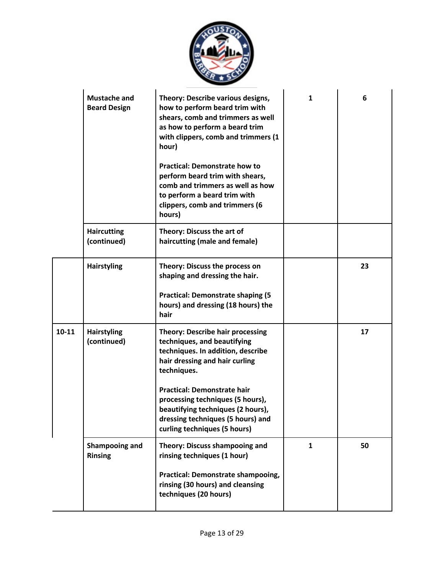

|           | <b>Mustache and</b><br><b>Beard Design</b> | Theory: Describe various designs,<br>how to perform beard trim with<br>shears, comb and trimmers as well<br>as how to perform a beard trim<br>with clippers, comb and trimmers (1<br>hour)<br><b>Practical: Demonstrate how to</b><br>perform beard trim with shears,<br>comb and trimmers as well as how<br>to perform a beard trim with<br>clippers, comb and trimmers (6<br>hours) | $\mathbf{1}$ | 6  |
|-----------|--------------------------------------------|---------------------------------------------------------------------------------------------------------------------------------------------------------------------------------------------------------------------------------------------------------------------------------------------------------------------------------------------------------------------------------------|--------------|----|
|           | <b>Haircutting</b><br>(continued)          | Theory: Discuss the art of<br>haircutting (male and female)                                                                                                                                                                                                                                                                                                                           |              |    |
|           | <b>Hairstyling</b>                         | Theory: Discuss the process on<br>shaping and dressing the hair.<br><b>Practical: Demonstrate shaping (5)</b><br>hours) and dressing (18 hours) the<br>hair                                                                                                                                                                                                                           |              | 23 |
| $10 - 11$ | <b>Hairstyling</b><br>(continued)          | <b>Theory: Describe hair processing</b><br>techniques, and beautifying<br>techniques. In addition, describe<br>hair dressing and hair curling<br>techniques.<br><b>Practical: Demonstrate hair</b><br>processing techniques (5 hours),<br>beautifying techniques (2 hours),<br>dressing techniques (5 hours) and<br>curling techniques (5 hours)                                      |              | 17 |
|           | Shampooing and<br><b>Rinsing</b>           | <b>Theory: Discuss shampooing and</b><br>rinsing techniques (1 hour)<br><b>Practical: Demonstrate shampooing,</b><br>rinsing (30 hours) and cleansing<br>techniques (20 hours)                                                                                                                                                                                                        | $\mathbf{1}$ | 50 |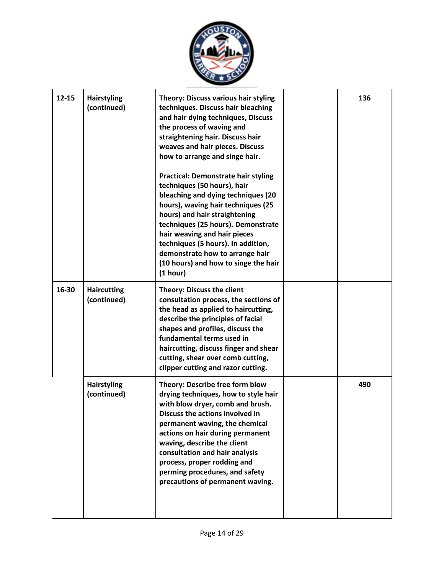

| $12 - 15$ | <b>Hairstyling</b><br>(continued) | Theory: Discuss various hair styling<br>techniques. Discuss hair bleaching<br>and hair dying techniques, Discuss<br>the process of waving and<br>straightening hair. Discuss hair<br>weaves and hair pieces. Discuss<br>how to arrange and singe hair.<br><b>Practical: Demonstrate hair styling</b><br>techniques (50 hours), hair<br>bleaching and dying techniques (20<br>hours), waving hair techniques (25<br>hours) and hair straightening<br>techniques (25 hours). Demonstrate<br>hair weaving and hair pieces<br>techniques (5 hours). In addition,<br>demonstrate how to arrange hair<br>(10 hours) and how to singe the hair<br>(1 hour) | 136 |
|-----------|-----------------------------------|-----------------------------------------------------------------------------------------------------------------------------------------------------------------------------------------------------------------------------------------------------------------------------------------------------------------------------------------------------------------------------------------------------------------------------------------------------------------------------------------------------------------------------------------------------------------------------------------------------------------------------------------------------|-----|
| 16-30     | <b>Haircutting</b><br>(continued) | <b>Theory: Discuss the client</b><br>consultation process, the sections of<br>the head as applied to haircutting,<br>describe the principles of facial<br>shapes and profiles, discuss the<br>fundamental terms used in<br>haircutting, discuss finger and shear<br>cutting, shear over comb cutting,<br>clipper cutting and razor cutting.                                                                                                                                                                                                                                                                                                         |     |
|           | <b>Hairstyling</b><br>(continued) | Theory: Describe free form blow<br>drying techniques, how to style hair<br>with blow dryer, comb and brush.<br>Discuss the actions involved in<br>permanent waving, the chemical<br>actions on hair during permanent<br>waving, describe the client<br>consultation and hair analysis<br>process, proper rodding and<br>perming procedures, and safety<br>precautions of permanent waving.                                                                                                                                                                                                                                                          | 490 |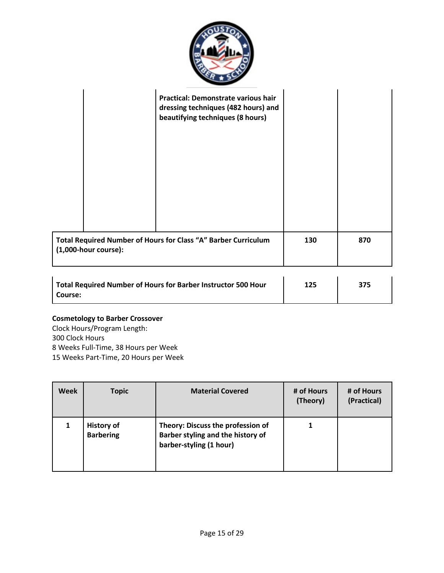

|         |                         | Practical: Demonstrate various hair<br>dressing techniques (482 hours) and<br>beautifying techniques (8 hours) |     |     |
|---------|-------------------------|----------------------------------------------------------------------------------------------------------------|-----|-----|
|         | $(1,000$ -hour course): | Total Required Number of Hours for Class "A" Barber Curriculum                                                 | 130 | 870 |
| Course: |                         | Total Required Number of Hours for Barber Instructor 500 Hour                                                  | 125 | 375 |

# **Cosmetology to Barber Crossover**

Clock Hours/Program Length: 300 Clock Hours 8 Weeks Full-Time, 38 Hours per Week 15 Weeks Part-Time, 20 Hours per Week

| <b>Week</b> | <b>Topic</b>                          | <b>Material Covered</b>                                                                           | # of Hours<br>(Theory) | # of Hours<br>(Practical) |
|-------------|---------------------------------------|---------------------------------------------------------------------------------------------------|------------------------|---------------------------|
|             | <b>History of</b><br><b>Barbering</b> | Theory: Discuss the profession of<br>Barber styling and the history of<br>barber-styling (1 hour) |                        |                           |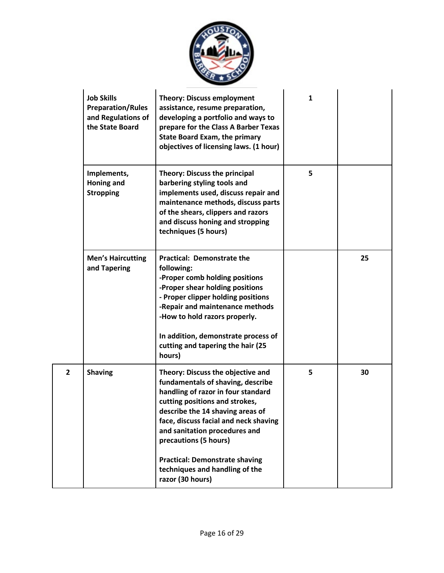

|   | <b>Job Skills</b><br><b>Preparation/Rules</b><br>and Regulations of<br>the State Board | <b>Theory: Discuss employment</b><br>assistance, resume preparation,<br>developing a portfolio and ways to<br>prepare for the Class A Barber Texas<br><b>State Board Exam, the primary</b><br>objectives of licensing laws. (1 hour)                                                                                           | $\mathbf{1}$ |    |
|---|----------------------------------------------------------------------------------------|--------------------------------------------------------------------------------------------------------------------------------------------------------------------------------------------------------------------------------------------------------------------------------------------------------------------------------|--------------|----|
|   | Implements,<br><b>Honing and</b><br><b>Stropping</b>                                   | Theory: Discuss the principal<br>barbering styling tools and<br>implements used, discuss repair and<br>maintenance methods, discuss parts<br>of the shears, clippers and razors<br>and discuss honing and stropping<br>techniques (5 hours)                                                                                    | 5            |    |
|   | <b>Men's Haircutting</b><br>and Tapering                                               | <b>Practical: Demonstrate the</b><br>following:<br>-Proper comb holding positions<br>-Proper shear holding positions<br>- Proper clipper holding positions<br>-Repair and maintenance methods<br>-How to hold razors properly.<br>In addition, demonstrate process of<br>cutting and tapering the hair (25<br>hours)           |              | 25 |
| 2 | <b>Shaving</b>                                                                         | Theory: Discuss the objective and<br>fundamentals of shaving, describe<br>handling of razor in four standard<br>cutting positions and strokes,<br>describe the 14 shaving areas of<br>face, discuss facial and neck shaving<br>and sanitation procedures and<br>precautions (5 hours)<br><b>Practical: Demonstrate shaving</b> | 5            | 30 |
|   |                                                                                        | techniques and handling of the<br>razor (30 hours)                                                                                                                                                                                                                                                                             |              |    |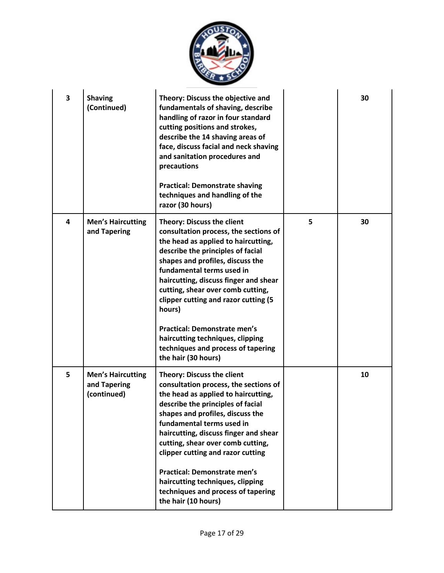

| 3                       | <b>Shaving</b><br>(Continued)                           | Theory: Discuss the objective and<br>fundamentals of shaving, describe<br>handling of razor in four standard<br>cutting positions and strokes,<br>describe the 14 shaving areas of<br>face, discuss facial and neck shaving<br>and sanitation procedures and<br>precautions<br><b>Practical: Demonstrate shaving</b><br>techniques and handling of the<br>razor (30 hours)                                                                                                                      |   | 30 |
|-------------------------|---------------------------------------------------------|-------------------------------------------------------------------------------------------------------------------------------------------------------------------------------------------------------------------------------------------------------------------------------------------------------------------------------------------------------------------------------------------------------------------------------------------------------------------------------------------------|---|----|
| $\overline{\mathbf{4}}$ | <b>Men's Haircutting</b><br>and Tapering                | <b>Theory: Discuss the client</b><br>consultation process, the sections of<br>the head as applied to haircutting,<br>describe the principles of facial<br>shapes and profiles, discuss the<br>fundamental terms used in<br>haircutting, discuss finger and shear<br>cutting, shear over comb cutting,<br>clipper cutting and razor cutting (5<br>hours)<br><b>Practical: Demonstrate men's</b><br>haircutting techniques, clipping<br>techniques and process of tapering<br>the hair (30 hours) | 5 | 30 |
| 5                       | <b>Men's Haircutting</b><br>and Tapering<br>(continued) | <b>Theory: Discuss the client</b><br>consultation process, the sections of<br>the head as applied to haircutting,<br>describe the principles of facial<br>shapes and profiles, discuss the<br>fundamental terms used in<br>haircutting, discuss finger and shear<br>cutting, shear over comb cutting,<br>clipper cutting and razor cutting<br><b>Practical: Demonstrate men's</b><br>haircutting techniques, clipping<br>techniques and process of tapering<br>the hair (10 hours)              |   | 10 |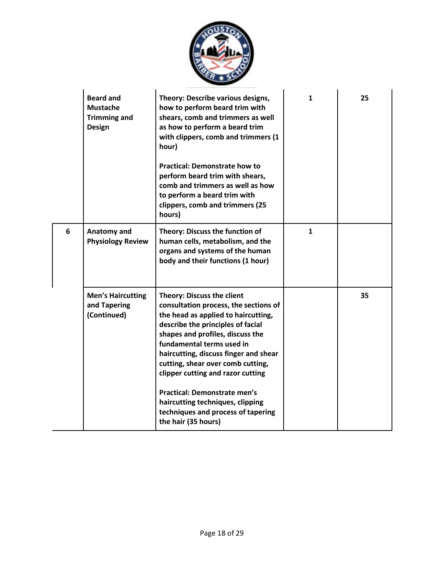

|   | <b>Beard and</b><br><b>Mustache</b><br><b>Trimming and</b><br><b>Design</b> | Theory: Describe various designs,<br>how to perform beard trim with<br>shears, comb and trimmers as well<br>as how to perform a beard trim<br>with clippers, comb and trimmers (1<br>hour)<br><b>Practical: Demonstrate how to</b><br>perform beard trim with shears,<br>comb and trimmers as well as how<br>to perform a beard trim with<br>clippers, comb and trimmers (25<br>hours)                                                                                             | 1            | 25 |
|---|-----------------------------------------------------------------------------|------------------------------------------------------------------------------------------------------------------------------------------------------------------------------------------------------------------------------------------------------------------------------------------------------------------------------------------------------------------------------------------------------------------------------------------------------------------------------------|--------------|----|
| 6 | Anatomy and<br><b>Physiology Review</b>                                     | Theory: Discuss the function of<br>human cells, metabolism, and the<br>organs and systems of the human<br>body and their functions (1 hour)                                                                                                                                                                                                                                                                                                                                        | $\mathbf{1}$ |    |
|   | <b>Men's Haircutting</b><br>and Tapering<br>(Continued)                     | <b>Theory: Discuss the client</b><br>consultation process, the sections of<br>the head as applied to haircutting,<br>describe the principles of facial<br>shapes and profiles, discuss the<br>fundamental terms used in<br>haircutting, discuss finger and shear<br>cutting, shear over comb cutting,<br>clipper cutting and razor cutting<br><b>Practical: Demonstrate men's</b><br>haircutting techniques, clipping<br>techniques and process of tapering<br>the hair (35 hours) |              | 35 |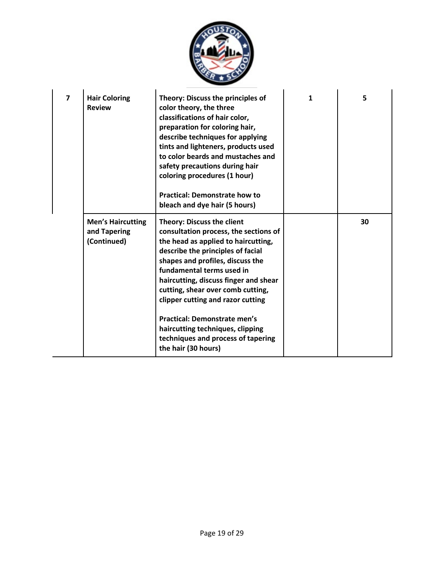

| 7 | <b>Hair Coloring</b><br><b>Review</b>                   | Theory: Discuss the principles of<br>color theory, the three<br>classifications of hair color,<br>preparation for coloring hair,<br>describe techniques for applying<br>tints and lighteners, products used<br>to color beards and mustaches and<br>safety precautions during hair<br>coloring procedures (1 hour)<br><b>Practical: Demonstrate how to</b><br>bleach and dye hair (5 hours)                                                                                        | 1 | 5  |
|---|---------------------------------------------------------|------------------------------------------------------------------------------------------------------------------------------------------------------------------------------------------------------------------------------------------------------------------------------------------------------------------------------------------------------------------------------------------------------------------------------------------------------------------------------------|---|----|
|   | <b>Men's Haircutting</b><br>and Tapering<br>(Continued) | <b>Theory: Discuss the client</b><br>consultation process, the sections of<br>the head as applied to haircutting,<br>describe the principles of facial<br>shapes and profiles, discuss the<br>fundamental terms used in<br>haircutting, discuss finger and shear<br>cutting, shear over comb cutting,<br>clipper cutting and razor cutting<br><b>Practical: Demonstrate men's</b><br>haircutting techniques, clipping<br>techniques and process of tapering<br>the hair (30 hours) |   | 30 |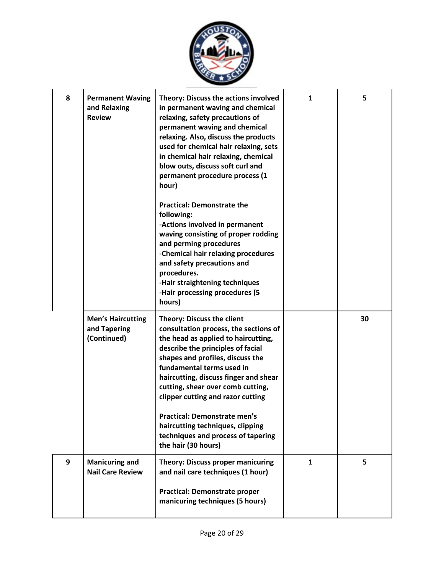

| 8 | <b>Permanent Waving</b><br>and Relaxing<br><b>Review</b> | Theory: Discuss the actions involved<br>in permanent waving and chemical<br>relaxing, safety precautions of<br>permanent waving and chemical<br>relaxing. Also, discuss the products<br>used for chemical hair relaxing, sets<br>in chemical hair relaxing, chemical<br>blow outs, discuss soft curl and<br>permanent procedure process (1<br>hour)<br><b>Practical: Demonstrate the</b>                                                                                    | 1            | 5  |
|---|----------------------------------------------------------|-----------------------------------------------------------------------------------------------------------------------------------------------------------------------------------------------------------------------------------------------------------------------------------------------------------------------------------------------------------------------------------------------------------------------------------------------------------------------------|--------------|----|
|   |                                                          | following:<br>-Actions involved in permanent<br>waving consisting of proper rodding<br>and perming procedures<br>-Chemical hair relaxing procedures<br>and safety precautions and<br>procedures.<br>-Hair straightening techniques<br>-Hair processing procedures (5<br>hours)                                                                                                                                                                                              |              |    |
|   | <b>Men's Haircutting</b><br>and Tapering<br>(Continued)  | <b>Theory: Discuss the client</b><br>consultation process, the sections of<br>the head as applied to haircutting,<br>describe the principles of facial<br>shapes and profiles, discuss the<br>fundamental terms used in<br>haircutting, discuss finger and shear<br>cutting, shear over comb cutting,<br>clipper cutting and razor cutting<br>Practical: Demonstrate men's<br>haircutting techniques, clipping<br>techniques and process of tapering<br>the hair (30 hours) |              | 30 |
| 9 | <b>Manicuring and</b><br><b>Nail Care Review</b>         | <b>Theory: Discuss proper manicuring</b><br>and nail care techniques (1 hour)<br><b>Practical: Demonstrate proper</b><br>manicuring techniques (5 hours)                                                                                                                                                                                                                                                                                                                    | $\mathbf{1}$ | 5  |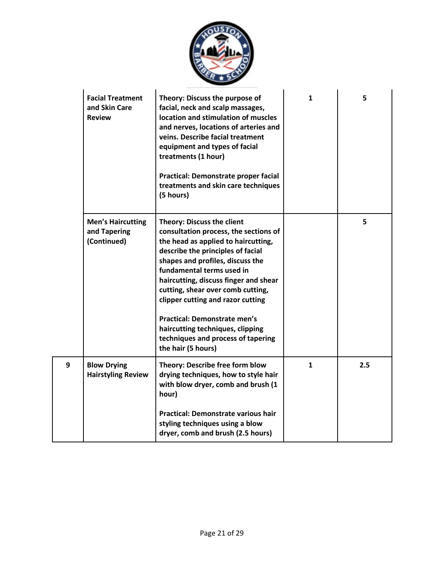

|   | <b>Facial Treatment</b><br>and Skin Care<br><b>Review</b> | Theory: Discuss the purpose of<br>facial, neck and scalp massages,<br>location and stimulation of muscles<br>and nerves, locations of arteries and<br>veins. Describe facial treatment<br>equipment and types of facial<br>treatments (1 hour)<br>Practical: Demonstrate proper facial<br>treatments and skin care techniques<br>(5 hours)                                                                                                                                        | $\mathbf{1}$ | 5   |
|---|-----------------------------------------------------------|-----------------------------------------------------------------------------------------------------------------------------------------------------------------------------------------------------------------------------------------------------------------------------------------------------------------------------------------------------------------------------------------------------------------------------------------------------------------------------------|--------------|-----|
|   | <b>Men's Haircutting</b><br>and Tapering<br>(Continued)   | <b>Theory: Discuss the client</b><br>consultation process, the sections of<br>the head as applied to haircutting,<br>describe the principles of facial<br>shapes and profiles, discuss the<br>fundamental terms used in<br>haircutting, discuss finger and shear<br>cutting, shear over comb cutting,<br>clipper cutting and razor cutting<br><b>Practical: Demonstrate men's</b><br>haircutting techniques, clipping<br>techniques and process of tapering<br>the hair (5 hours) |              | 5   |
| 9 | <b>Blow Drying</b><br><b>Hairstyling Review</b>           | Theory: Describe free form blow<br>drying techniques, how to style hair<br>with blow dryer, comb and brush (1<br>hour)<br><b>Practical: Demonstrate various hair</b><br>styling techniques using a blow<br>dryer, comb and brush (2.5 hours)                                                                                                                                                                                                                                      | $\mathbf{1}$ | 2.5 |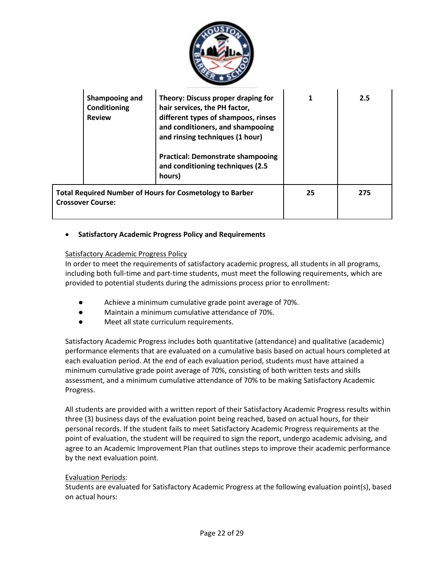

| Shampooing and<br>Conditioning<br><b>Review</b> | Theory: Discuss proper draping for<br>hair services, the PH factor,<br>different types of shampoos, rinses<br>and conditioners, and shampooing<br>and rinsing techniques (1 hour)<br><b>Practical: Demonstrate shampooing</b><br>and conditioning techniques (2.5<br>hours) |    | 2.5 |
|-------------------------------------------------|-----------------------------------------------------------------------------------------------------------------------------------------------------------------------------------------------------------------------------------------------------------------------------|----|-----|
| <b>Crossover Course:</b>                        | <b>Total Required Number of Hours for Cosmetology to Barber</b>                                                                                                                                                                                                             | 25 | 275 |

## • **Satisfactory Academic Progress Policy and Requirements**

#### Satisfactory Academic Progress Policy

In order to meet the requirements of satisfactory academic progress, all students in all programs, including both full-time and part-time students, must meet the following requirements, which are provided to potential students during the admissions process prior to enrollment:

- Achieve a minimum cumulative grade point average of 70%.
- Maintain a minimum cumulative attendance of 70%.
- Meet all state curriculum requirements.

Satisfactory Academic Progress includes both quantitative (attendance) and qualitative (academic) performance elements that are evaluated on a cumulative basis based on actual hours completed at each evaluation period. At the end of each evaluation period, students must have attained a minimum cumulative grade point average of 70%, consisting of both written tests and skills assessment, and a minimum cumulative attendance of 70% to be making Satisfactory Academic Progress.

All students are provided with a written report of their Satisfactory Academic Progress results within three (3) business days of the evaluation point being reached, based on actual hours, for their personal records. If the student fails to meet Satisfactory Academic Progress requirements at the point of evaluation, the student will be required to sign the report, undergo academic advising, and agree to an Academic Improvement Plan that outlines steps to improve their academic performance by the next evaluation point.

#### Evaluation Periods:

Students are evaluated for Satisfactory Academic Progress at the following evaluation point(s), based on actual hours: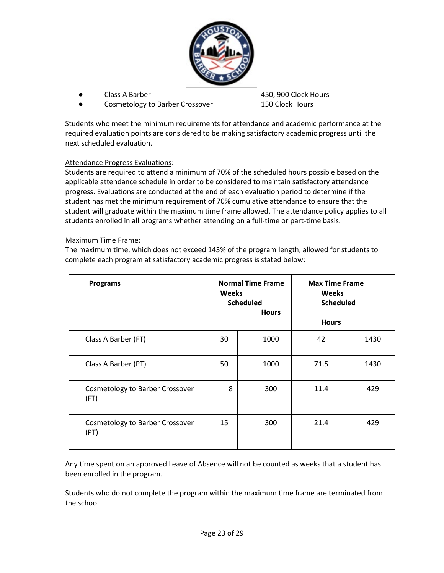

- 
- Cosmetology to Barber Crossover 150 Clock Hours

Class A Barber 1980 Clock Hours 2012 150, 900 Clock Hours

Students who meet the minimum requirements for attendance and academic performance at the required evaluation points are considered to be making satisfactory academic progress until the next scheduled evaluation.

## Attendance Progress Evaluations:

Students are required to attend a minimum of 70% of the scheduled hours possible based on the applicable attendance schedule in order to be considered to maintain satisfactory attendance progress. Evaluations are conducted at the end of each evaluation period to determine if the student has met the minimum requirement of 70% cumulative attendance to ensure that the student will graduate within the maximum time frame allowed. The attendance policy applies to all students enrolled in all programs whether attending on a full-time or part-time basis.

#### Maximum Time Frame:

The maximum time, which does not exceed 143% of the program length, allowed for students to complete each program at satisfactory academic progress is stated below:

| <b>Programs</b>                         | <b>Weeks</b> | <b>Normal Time Frame</b><br><b>Scheduled</b><br><b>Hours</b> | <b>Max Time Frame</b><br><b>Weeks</b><br><b>Hours</b> | <b>Scheduled</b> |
|-----------------------------------------|--------------|--------------------------------------------------------------|-------------------------------------------------------|------------------|
| Class A Barber (FT)                     | 30           | 1000                                                         | 42                                                    | 1430             |
| Class A Barber (PT)                     | 50           | 1000                                                         | 71.5                                                  | 1430             |
| Cosmetology to Barber Crossover<br>(FT) | 8            | 300                                                          | 11.4                                                  | 429              |
| Cosmetology to Barber Crossover<br>(PT) | 15           | 300                                                          | 21.4                                                  | 429              |

Any time spent on an approved Leave of Absence will not be counted as weeks that a student has been enrolled in the program.

Students who do not complete the program within the maximum time frame are terminated from the school.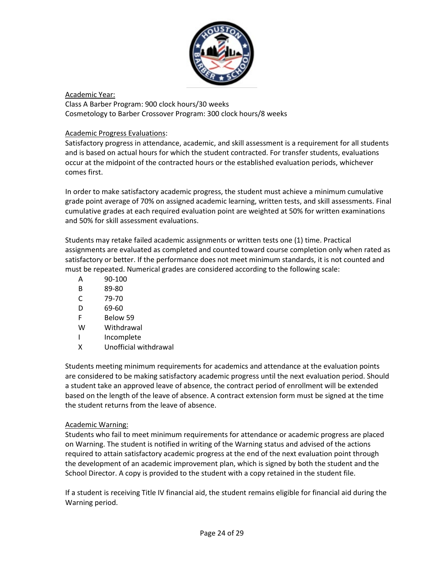

Academic Year: Class A Barber Program: 900 clock hours/30 weeks Cosmetology to Barber Crossover Program: 300 clock hours/8 weeks

## Academic Progress Evaluations:

Satisfactory progress in attendance, academic, and skill assessment is a requirement for all students and is based on actual hours for which the student contracted. For transfer students, evaluations occur at the midpoint of the contracted hours or the established evaluation periods, whichever comes first.

In order to make satisfactory academic progress, the student must achieve a minimum cumulative grade point average of 70% on assigned academic learning, written tests, and skill assessments. Final cumulative grades at each required evaluation point are weighted at 50% for written examinations and 50% for skill assessment evaluations.

Students may retake failed academic assignments or written tests one (1) time. Practical assignments are evaluated as completed and counted toward course completion only when rated as satisfactory or better. If the performance does not meet minimum standards, it is not counted and must be repeated. Numerical grades are considered according to the following scale:

- A 90-100
- B 89-80
- C 79-70
- D 69-60
- F Below 59
- W Withdrawal
- I Incomplete
- X Unofficial withdrawal

Students meeting minimum requirements for academics and attendance at the evaluation points are considered to be making satisfactory academic progress until the next evaluation period. Should a student take an approved leave of absence, the contract period of enrollment will be extended based on the length of the leave of absence. A contract extension form must be signed at the time the student returns from the leave of absence.

## Academic Warning:

Students who fail to meet minimum requirements for attendance or academic progress are placed on Warning. The student is notified in writing of the Warning status and advised of the actions required to attain satisfactory academic progress at the end of the next evaluation point through the development of an academic improvement plan, which is signed by both the student and the School Director. A copy is provided to the student with a copy retained in the student file.

If a student is receiving Title IV financial aid, the student remains eligible for financial aid during the Warning period.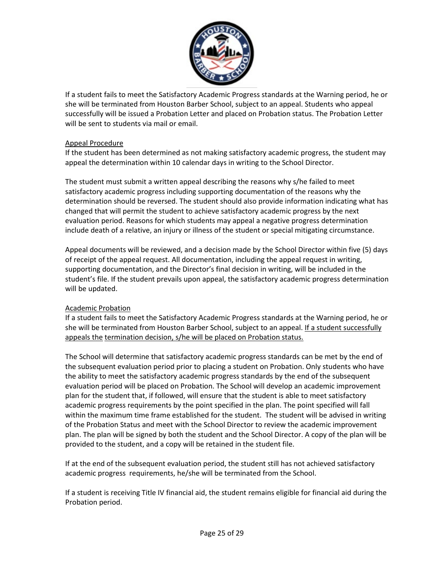

If a student fails to meet the Satisfactory Academic Progress standards at the Warning period, he or she will be terminated from Houston Barber School, subject to an appeal. Students who appeal successfully will be issued a Probation Letter and placed on Probation status. The Probation Letter will be sent to students via mail or email.

#### Appeal Procedure

If the student has been determined as not making satisfactory academic progress, the student may appeal the determination within 10 calendar days in writing to the School Director.

The student must submit a written appeal describing the reasons why s/he failed to meet satisfactory academic progress including supporting documentation of the reasons why the determination should be reversed. The student should also provide information indicating what has changed that will permit the student to achieve satisfactory academic progress by the next evaluation period. Reasons for which students may appeal a negative progress determination include death of a relative, an injury or illness of the student or special mitigating circumstance.

Appeal documents will be reviewed, and a decision made by the School Director within five (5) days of receipt of the appeal request. All documentation, including the appeal request in writing, supporting documentation, and the Director's final decision in writing, will be included in the student's file. If the student prevails upon appeal, the satisfactory academic progress determination will be updated.

## Academic Probation

If a student fails to meet the Satisfactory Academic Progress standards at the Warning period, he or she will be terminated from Houston Barber School, subject to an appeal. If a student successfully appeals the termination decision, s/he will be placed on Probation status.

The School will determine that satisfactory academic progress standards can be met by the end of the subsequent evaluation period prior to placing a student on Probation. Only students who have the ability to meet the satisfactory academic progress standards by the end of the subsequent evaluation period will be placed on Probation. The School will develop an academic improvement plan for the student that, if followed, will ensure that the student is able to meet satisfactory academic progress requirements by the point specified in the plan. The point specified will fall within the maximum time frame established for the student. The student will be advised in writing of the Probation Status and meet with the School Director to review the academic improvement plan. The plan will be signed by both the student and the School Director. A copy of the plan will be provided to the student, and a copy will be retained in the student file.

If at the end of the subsequent evaluation period, the student still has not achieved satisfactory academic progress requirements, he/she will be terminated from the School.

If a student is receiving Title IV financial aid, the student remains eligible for financial aid during the Probation period.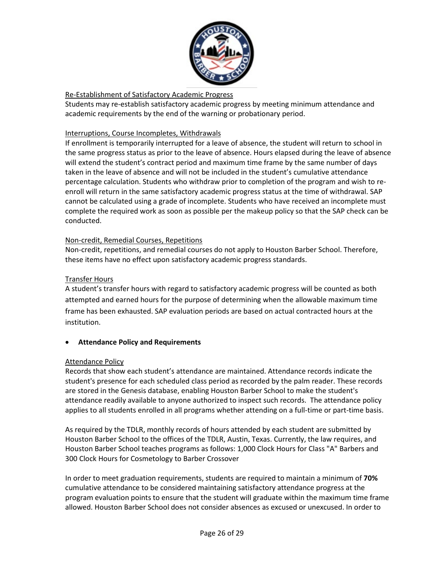

## Re-Establishment of Satisfactory Academic Progress

Students may re-establish satisfactory academic progress by meeting minimum attendance and academic requirements by the end of the warning or probationary period.

## Interruptions, Course Incompletes, Withdrawals

If enrollment is temporarily interrupted for a leave of absence, the student will return to school in the same progress status as prior to the leave of absence. Hours elapsed during the leave of absence will extend the student's contract period and maximum time frame by the same number of days taken in the leave of absence and will not be included in the student's cumulative attendance percentage calculation. Students who withdraw prior to completion of the program and wish to reenroll will return in the same satisfactory academic progress status at the time of withdrawal. SAP cannot be calculated using a grade of incomplete. Students who have received an incomplete must complete the required work as soon as possible per the makeup policy so that the SAP check can be conducted.

## Non-credit, Remedial Courses, Repetitions

Non-credit, repetitions, and remedial courses do not apply to Houston Barber School. Therefore, these items have no effect upon satisfactory academic progress standards.

## Transfer Hours

A student's transfer hours with regard to satisfactory academic progress will be counted as both attempted and earned hours for the purpose of determining when the allowable maximum time frame has been exhausted. SAP evaluation periods are based on actual contracted hours at the institution.

## • **Attendance Policy and Requirements**

## Attendance Policy

Records that show each student's attendance are maintained. Attendance records indicate the student's presence for each scheduled class period as recorded by the palm reader. These records are stored in the Genesis database, enabling Houston Barber School to make the student's attendance readily available to anyone authorized to inspect such records. The attendance policy applies to all students enrolled in all programs whether attending on a full-time or part-time basis.

As required by the TDLR, monthly records of hours attended by each student are submitted by Houston Barber School to the offices of the TDLR, Austin, Texas. Currently, the law requires, and Houston Barber School teaches programs as follows: 1,000 Clock Hours for Class "A" Barbers and 300 Clock Hours for Cosmetology to Barber Crossover

In order to meet graduation requirements, students are required to maintain a minimum of **70%** cumulative attendance to be considered maintaining satisfactory attendance progress at the program evaluation points to ensure that the student will graduate within the maximum time frame allowed. Houston Barber School does not consider absences as excused or unexcused. In order to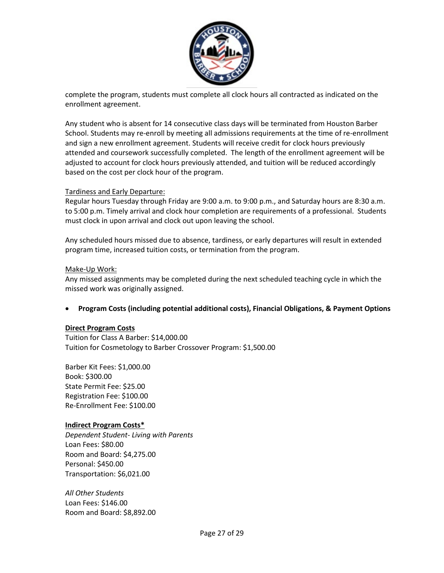

complete the program, students must complete all clock hours all contracted as indicated on the enrollment agreement.

Any student who is absent for 14 consecutive class days will be terminated from Houston Barber School. Students may re-enroll by meeting all admissions requirements at the time of re-enrollment and sign a new enrollment agreement. Students will receive credit for clock hours previously attended and coursework successfully completed. The length of the enrollment agreement will be adjusted to account for clock hours previously attended, and tuition will be reduced accordingly based on the cost per clock hour of the program.

#### Tardiness and Early Departure:

Regular hours Tuesday through Friday are 9:00 a.m. to 9:00 p.m., and Saturday hours are 8:30 a.m. to 5:00 p.m. Timely arrival and clock hour completion are requirements of a professional. Students must clock in upon arrival and clock out upon leaving the school.

Any scheduled hours missed due to absence, tardiness, or early departures will result in extended program time, increased tuition costs, or termination from the program.

#### Make-Up Work:

Any missed assignments may be completed during the next scheduled teaching cycle in which the missed work was originally assigned.

## • **Program Costs (including potential additional costs), Financial Obligations, & Payment Options**

#### **Direct Program Costs**

Tuition for Class A Barber: \$14,000.00 Tuition for Cosmetology to Barber Crossover Program: \$1,500.00

Barber Kit Fees: \$1,000.00 Book: \$300.00 State Permit Fee: \$25.00 Registration Fee: \$100.00 Re-Enrollment Fee: \$100.00

#### **Indirect Program Costs\***

*Dependent Student- Living with Parents* Loan Fees: \$80.00 Room and Board: \$4,275.00 Personal: \$450.00 Transportation: \$6,021.00

*All Other Students* Loan Fees: \$146.00 Room and Board: \$8,892.00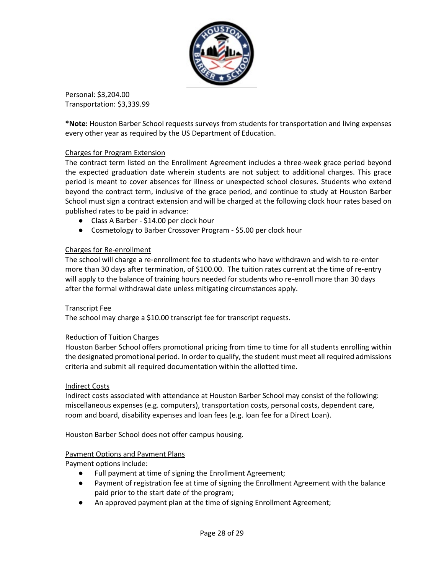

Personal: \$3,204.00 Transportation: \$3,339.99

**\*Note:** Houston Barber School requests surveys from students for transportation and living expenses every other year as required by the US Department of Education.

## Charges for Program Extension

The contract term listed on the Enrollment Agreement includes a three-week grace period beyond the expected graduation date wherein students are not subject to additional charges. This grace period is meant to cover absences for illness or unexpected school closures. Students who extend beyond the contract term, inclusive of the grace period, and continue to study at Houston Barber School must sign a contract extension and will be charged at the following clock hour rates based on published rates to be paid in advance:

- Class A Barber \$14.00 per clock hour
- Cosmetology to Barber Crossover Program \$5.00 per clock hour

## Charges for Re-enrollment

The school will charge a re-enrollment fee to students who have withdrawn and wish to re-enter more than 30 days after termination, of \$100.00. The tuition rates current at the time of re-entry will apply to the balance of training hours needed for students who re-enroll more than 30 days after the formal withdrawal date unless mitigating circumstances apply.

## Transcript Fee

The school may charge a \$10.00 transcript fee for transcript requests.

## Reduction of Tuition Charges

Houston Barber School offers promotional pricing from time to time for all students enrolling within the designated promotional period. In order to qualify, the student must meet all required admissions criteria and submit all required documentation within the allotted time.

#### Indirect Costs

Indirect costs associated with attendance at Houston Barber School may consist of the following: miscellaneous expenses (e.g. computers), transportation costs, personal costs, dependent care, room and board, disability expenses and loan fees (e.g. loan fee for a Direct Loan).

Houston Barber School does not offer campus housing.

#### Payment Options and Payment Plans

Payment options include:

- Full payment at time of signing the Enrollment Agreement;
- Payment of registration fee at time of signing the Enrollment Agreement with the balance paid prior to the start date of the program;
- An approved payment plan at the time of signing Enrollment Agreement;